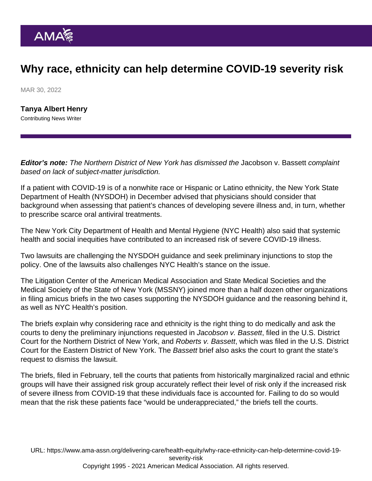## Why race, ethnicity can help determine COVID-19 severity risk

MAR 30, 2022

[Tanya Albert Henry](https://www.ama-assn.org/news-leadership-viewpoints/authors-news-leadership-viewpoints/tanya-albert-henry) Contributing News Writer

Editor's note: The Northern District of New York has dismissed the Jacobson v. Bassett complaint based on lack of subject-matter jurisdiction.

If a patient with COVID-19 is of a nonwhite race or Hispanic or Latino ethnicity, the New York State Department of Health (NYSDOH) in December advised that physicians should consider that background when assessing that patient's chances of developing severe illness and, in turn, whether to prescribe scarce oral antiviral treatments.

The New York City Department of Health and Mental Hygiene (NYC Health) also said that systemic health and social inequities have contributed to an increased risk of severe COVID-19 illness.

Two lawsuits are challenging the NYSDOH guidance and seek preliminary injunctions to stop the policy. One of the lawsuits also challenges NYC Health's stance on the issue.

The [Litigation Center of the American Medical Association and State Medical Societies](https://www.ama-assn.org/health-care-advocacy/judicial-advocacy) and the Medical Society of the State of New York (MSSNY) joined more than a half dozen other organizations in filing amicus briefs in the two cases supporting the NYSDOH guidance and the reasoning behind it, as well as NYC Health's position.

The briefs explain why considering race and ethnicity is the right thing to do medically and ask the courts to deny the preliminary injunctions requested in Jacobson v. Bassett, filed in the U.S. District Court for the Northern District of New York, and Roberts v. Bassett, which was filed in the U.S. District Court for the Eastern District of New York. The Bassett brief also asks the court to grant the state's request to dismiss the lawsuit.

The briefs, filed in February, tell the courts that patients from historically marginalized racial and ethnic groups will have their assigned risk group accurately reflect their level of risk only if the increased risk of severe illness from COVID-19 that these individuals face is accounted for. Failing to do so would mean that the risk these patients face "would be underappreciated," the briefs tell the courts.

URL: [https://www.ama-assn.org/delivering-care/health-equity/why-race-ethnicity-can-help-determine-covid-19](https://www.ama-assn.org/delivering-care/health-equity/why-race-ethnicity-can-help-determine-covid-19-severity-risk) [severity-risk](https://www.ama-assn.org/delivering-care/health-equity/why-race-ethnicity-can-help-determine-covid-19-severity-risk) Copyright 1995 - 2021 American Medical Association. All rights reserved.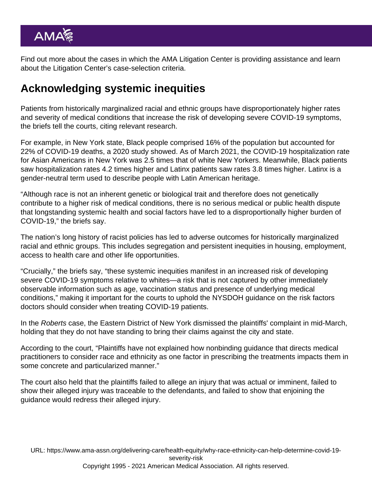Find out more about the cases in which the [AMA Litigation Center is providing assistance](https://www.ama-assn.org/health-care-advocacy/judicial-advocacy/litigation-center-cases) and learn about the [Litigation Center's case-selection criteria.](https://www.ama-assn.org/health-care-advocacy/judicial-advocacy/litigation-center-case-selection-criteria)

## Acknowledging systemic inequities

Patients from historically marginalized racial and ethnic groups have disproportionately higher rates and severity of medical conditions that increase the risk of developing severe COVID-19 symptoms, the briefs tell the courts, citing relevant research.

For example, in New York state, Black people comprised 16% of the population but accounted for 22% of COVID-19 deaths, a 2020 study showed. As of March 2021, the COVID-19 hospitalization rate for Asian Americans in New York was 2.5 times that of white New Yorkers. Meanwhile, Black patients saw hospitalization rates 4.2 times higher and Latinx patients saw rates 3.8 times higher. Latinx is a gender-neutral term used to describe people with Latin American heritage.

"Although race is not an inherent genetic or biological trait and therefore does not genetically contribute to a higher risk of medical conditions, there is no serious medical or public health dispute that longstanding systemic health and social factors have led to a disproportionally higher burden of COVID-19," the briefs say.

The nation's long history of racist policies has led to adverse outcomes for historically marginalized racial and ethnic groups. This includes segregation and persistent inequities in housing, employment, access to health care and other life opportunities.

"Crucially," the briefs say, "these systemic inequities manifest in an increased risk of developing severe COVID-19 symptoms relative to whites—a risk that is not captured by other immediately observable information such as age, vaccination status and presence of underlying medical conditions," making it important for the courts to uphold the NYSDOH guidance on the risk factors doctors should consider when treating COVID-19 patients.

In the Roberts case, the Eastern District of New York dismissed the plaintiffs' complaint in mid-March, holding that they do not have standing to bring their claims against the city and state.

According to the court, "Plaintiffs have not explained how nonbinding guidance that directs medical practitioners to consider race and ethnicity as one factor in prescribing the treatments impacts them in some concrete and particularized manner."

The court also held that the plaintiffs failed to allege an injury that was actual or imminent, failed to show their alleged injury was traceable to the defendants, and failed to show that enjoining the guidance would redress their alleged injury.

URL: [https://www.ama-assn.org/delivering-care/health-equity/why-race-ethnicity-can-help-determine-covid-19](https://www.ama-assn.org/delivering-care/health-equity/why-race-ethnicity-can-help-determine-covid-19-severity-risk) [severity-risk](https://www.ama-assn.org/delivering-care/health-equity/why-race-ethnicity-can-help-determine-covid-19-severity-risk) Copyright 1995 - 2021 American Medical Association. All rights reserved.